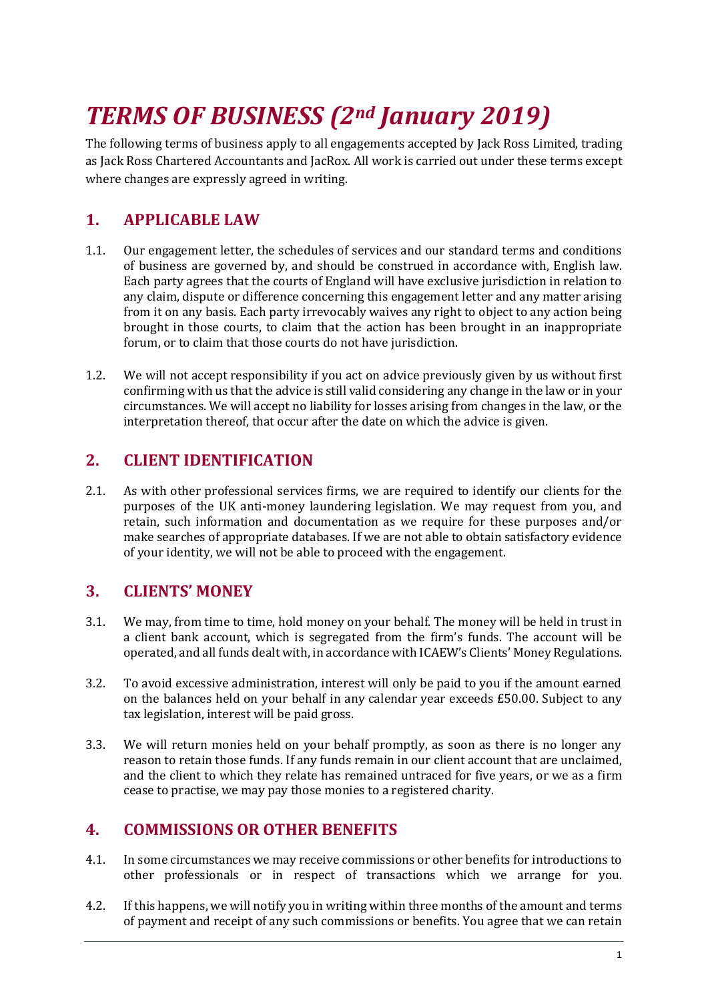# *TERMS OF BUSINESS (2nd January 2019)*

The following terms of business apply to all engagements accepted by Jack Ross Limited, trading as Jack Ross Chartered Accountants and JacRox. All work is carried out under these terms except where changes are expressly agreed in writing.

# **1. APPLICABLE LAW**

- 1.1. Our engagement letter, the schedules of services and our standard terms and conditions of business are governed by, and should be construed in accordance with, English law. Each party agrees that the courts of England will have exclusive jurisdiction in relation to any claim, dispute or difference concerning this engagement letter and any matter arising from it on any basis. Each party irrevocably waives any right to object to any action being brought in those courts, to claim that the action has been brought in an inappropriate forum, or to claim that those courts do not have jurisdiction.
- 1.2. We will not accept responsibility if you act on advice previously given by us without first confirming with us that the advice is still valid considering any change in the law or in your circumstances. We will accept no liability for losses arising from changes in the law, or the interpretation thereof, that occur after the date on which the advice is given.

# **2. CLIENT IDENTIFICATION**

2.1. As with other professional services firms, we are required to identify our clients for the purposes of the UK anti-money laundering legislation. We may request from you, and retain, such information and documentation as we require for these purposes and/or make searches of appropriate databases. If we are not able to obtain satisfactory evidence of your identity, we will not be able to proceed with the engagement.

#### **3. CLIENTS' MONEY**

- 3.1. We may, from time to time, hold money on your behalf. The money will be held in trust in a client bank account, which is segregated from the firm's funds. The account will be operated, and all funds dealt with, in accordance with ICAEW's Clients' Money Regulations.
- 3.2. To avoid excessive administration, interest will only be paid to you if the amount earned on the balances held on your behalf in any calendar year exceeds £50.00. Subject to any tax legislation, interest will be paid gross.
- 3.3. We will return monies held on your behalf promptly, as soon as there is no longer any reason to retain those funds. If any funds remain in our client account that are unclaimed, and the client to which they relate has remained untraced for five years, or we as a firm cease to practise, we may pay those monies to a registered charity.

# **4. COMMISSIONS OR OTHER BENEFITS**

- 4.1. In some circumstances we may receive commissions or other benefits for introductions to other professionals or in respect of transactions which we arrange for you.
- 4.2. If this happens, we will notify you in writing within three months of the amount and terms of payment and receipt of any such commissions or benefits. You agree that we can retain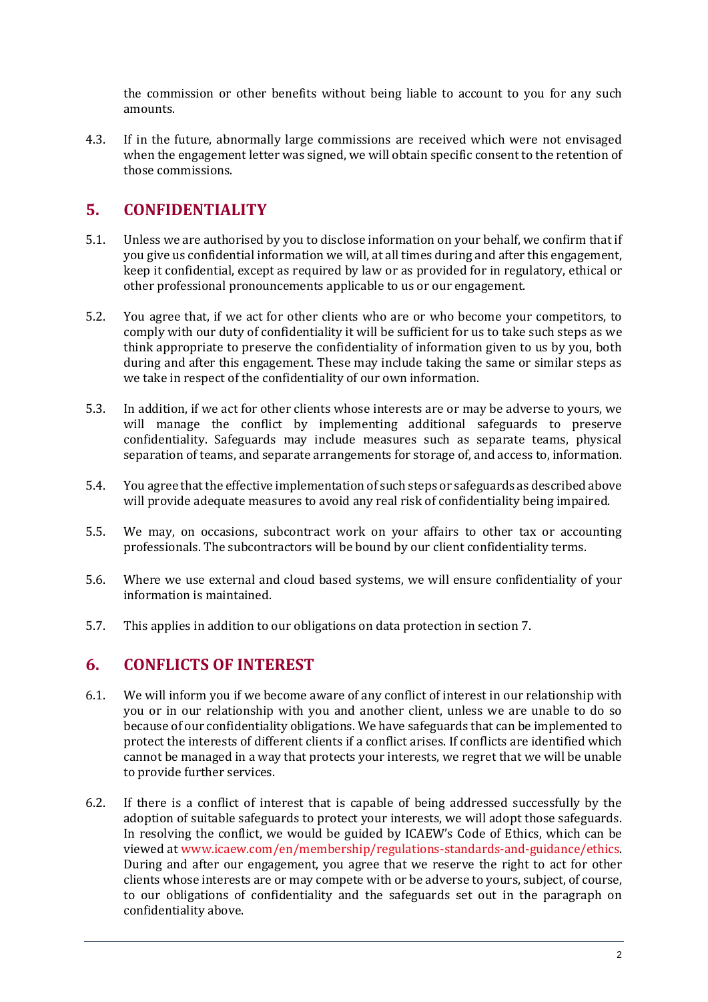the commission or other benefits without being liable to account to you for any such amounts.

4.3. If in the future, abnormally large commissions are received which were not envisaged when the engagement letter was signed, we will obtain specific consent to the retention of those commissions.

# **5. CONFIDENTIALITY**

- 5.1. Unless we are authorised by you to disclose information on your behalf, we confirm that if you give us confidential information we will, at all times during and after this engagement, keep it confidential, except as required by law or as provided for in regulatory, ethical or other professional pronouncements applicable to us or our engagement.
- 5.2. You agree that, if we act for other clients who are or who become your competitors, to comply with our duty of confidentiality it will be sufficient for us to take such steps as we think appropriate to preserve the confidentiality of information given to us by you, both during and after this engagement. These may include taking the same or similar steps as we take in respect of the confidentiality of our own information.
- 5.3. In addition, if we act for other clients whose interests are or may be adverse to yours, we will manage the conflict by implementing additional safeguards to preserve confidentiality. Safeguards may include measures such as separate teams, physical separation of teams, and separate arrangements for storage of, and access to, information.
- 5.4. You agree that the effective implementation of such steps or safeguards as described above will provide adequate measures to avoid any real risk of confidentiality being impaired.
- 5.5. We may, on occasions, subcontract work on your affairs to other tax or accounting professionals. The subcontractors will be bound by our client confidentiality terms.
- 5.6. Where we use external and cloud based systems, we will ensure confidentiality of your information is maintained.
- 5.7. This applies in addition to our obligations on data protection in section 7.

#### **6. CONFLICTS OF INTEREST**

- 6.1. We will inform you if we become aware of any conflict of interest in our relationship with you or in our relationship with you and another client, unless we are unable to do so because of our confidentiality obligations. We have safeguards that can be implemented to protect the interests of different clients if a conflict arises. If conflicts are identified which cannot be managed in a way that protects your interests, we regret that we will be unable to provide further services.
- 6.2. If there is a conflict of interest that is capable of being addressed successfully by the adoption of suitable safeguards to protect your interests, we will adopt those safeguards. In resolving the conflict, we would be guided by ICAEW's Code of Ethics, which can be viewed at [www.icaew.com/en/membership/regulations-standards-and-guidance/ethics.](http://www.icaew.com/en/membership/regulations-standards-and-guidance/ethics) During and after our engagement, you agree that we reserve the right to act for other clients whose interests are or may compete with or be adverse to yours, subject, of course, to our obligations of confidentiality and the safeguards set out in the paragraph on confidentiality above.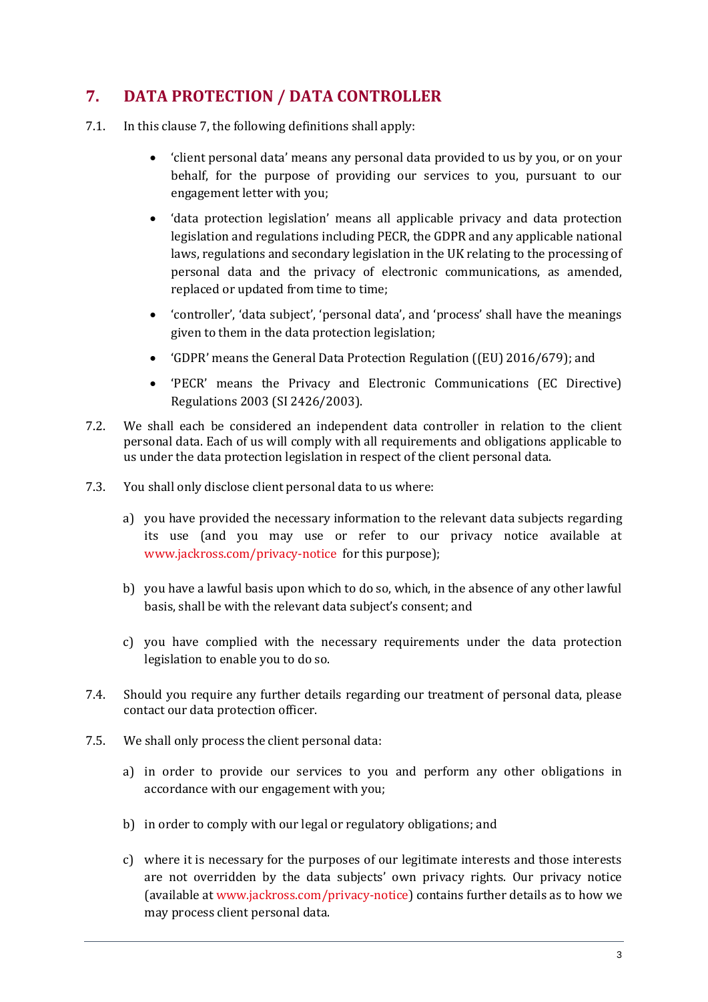# **7. DATA PROTECTION / DATA CONTROLLER**

- 7.1. In this clause 7, the following definitions shall apply:
	- 'client personal data' means any personal data provided to us by you, or on your behalf, for the purpose of providing our services to you, pursuant to our engagement letter with you;
	- 'data protection legislation' means all applicable privacy and data protection legislation and regulations including PECR, the GDPR and any applicable national laws, regulations and secondary legislation in the UK relating to the processing of personal data and the privacy of electronic communications, as amended, replaced or updated from time to time;
	- 'controller', 'data subject', 'personal data', and 'process' shall have the meanings given to them in the data protection legislation;
	- 'GDPR' means the General Data Protection Regulation ((EU) 2016/679); and
	- 'PECR' means the Privacy and Electronic Communications (EC Directive) Regulations 2003 (SI 2426/2003).
- 7.2. We shall each be considered an independent data controller in relation to the client personal data. Each of us will comply with all requirements and obligations applicable to us under the data protection legislation in respect of the client personal data.
- 7.3. You shall only disclose client personal data to us where:
	- a) you have provided the necessary information to the relevant data subjects regarding its use (and you may use or refer to our privacy notice available at [www.jackross.com/privacy-notice](http://www.jackross.com/privacy-notice) for this purpose);
	- b) you have a lawful basis upon which to do so, which, in the absence of any other lawful basis, shall be with the relevant data subject's consent; and
	- c) you have complied with the necessary requirements under the data protection legislation to enable you to do so.
- 7.4. Should you require any further details regarding our treatment of personal data, please contact our data protection officer.
- 7.5. We shall only process the client personal data:
	- a) in order to provide our services to you and perform any other obligations in accordance with our engagement with you;
	- b) in order to comply with our legal or regulatory obligations; and
	- c) where it is necessary for the purposes of our legitimate interests and those interests are not overridden by the data subjects' own privacy rights. Our privacy notice (available at [www.jackross.com/privacy-notice\)](http://www.jackross.com/privacy-notice) contains further details as to how we may process client personal data.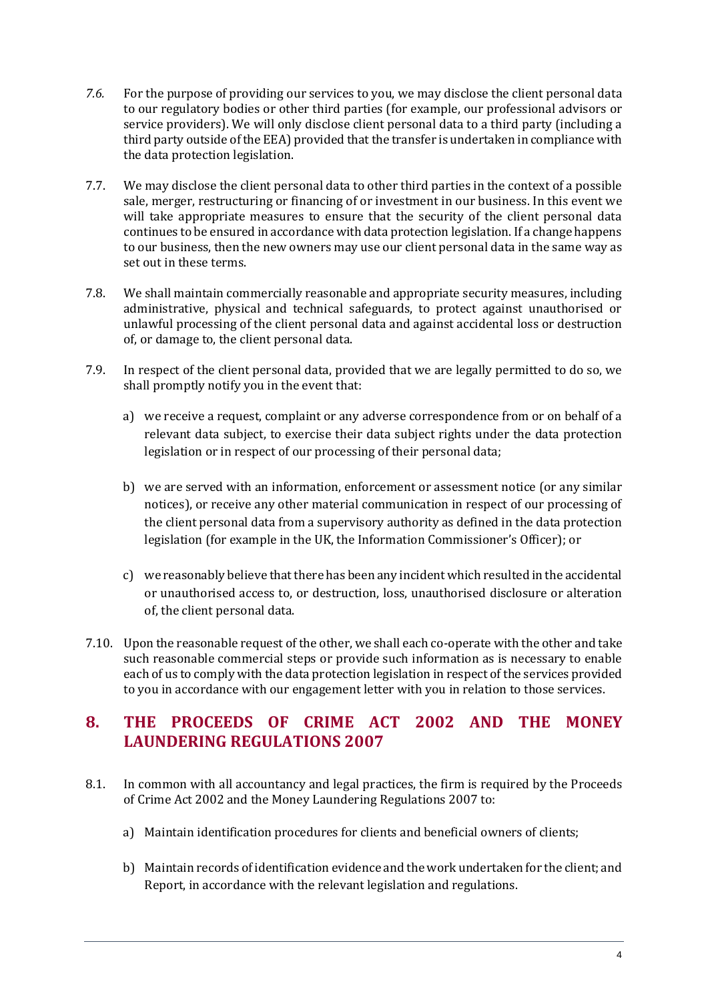- *7.6.* For the purpose of providing our services to you, we may disclose the client personal data to our regulatory bodies or other third parties (for example, our professional advisors or service providers). We will only disclose client personal data to a third party (including a third party outside of the EEA) provided that the transfer is undertaken in compliance with the data protection legislation.
- 7.7. We may disclose the client personal data to other third parties in the context of a possible sale, merger, restructuring or financing of or investment in our business. In this event we will take appropriate measures to ensure that the security of the client personal data continues to be ensured in accordance with data protection legislation. If a change happens to our business, then the new owners may use our client personal data in the same way as set out in these terms.
- 7.8. We shall maintain commercially reasonable and appropriate security measures, including administrative, physical and technical safeguards, to protect against unauthorised or unlawful processing of the client personal data and against accidental loss or destruction of, or damage to, the client personal data.
- 7.9. In respect of the client personal data, provided that we are legally permitted to do so, we shall promptly notify you in the event that:
	- a) we receive a request, complaint or any adverse correspondence from or on behalf of a relevant data subject, to exercise their data subject rights under the data protection legislation or in respect of our processing of their personal data;
	- b) we are served with an information, enforcement or assessment notice (or any similar notices), or receive any other material communication in respect of our processing of the client personal data from a supervisory authority as defined in the data protection legislation (for example in the UK, the Information Commissioner's Officer); or
	- c) we reasonably believe that there has been any incident which resulted in the accidental or unauthorised access to, or destruction, loss, unauthorised disclosure or alteration of, the client personal data.
- 7.10. Upon the reasonable request of the other, we shall each co-operate with the other and take such reasonable commercial steps or provide such information as is necessary to enable each of us to comply with the data protection legislation in respect of the services provided to you in accordance with our engagement letter with you in relation to those services.

#### **8. THE PROCEEDS OF CRIME ACT 2002 AND THE MONEY LAUNDERING REGULATIONS 2007**

- 8.1. In common with all accountancy and legal practices, the firm is required by the Proceeds of Crime Act 2002 and the Money Laundering Regulations 2007 to:
	- a) Maintain identification procedures for clients and beneficial owners of clients;
	- b) Maintain records of identification evidence and the work undertaken for the client; and Report, in accordance with the relevant legislation and regulations.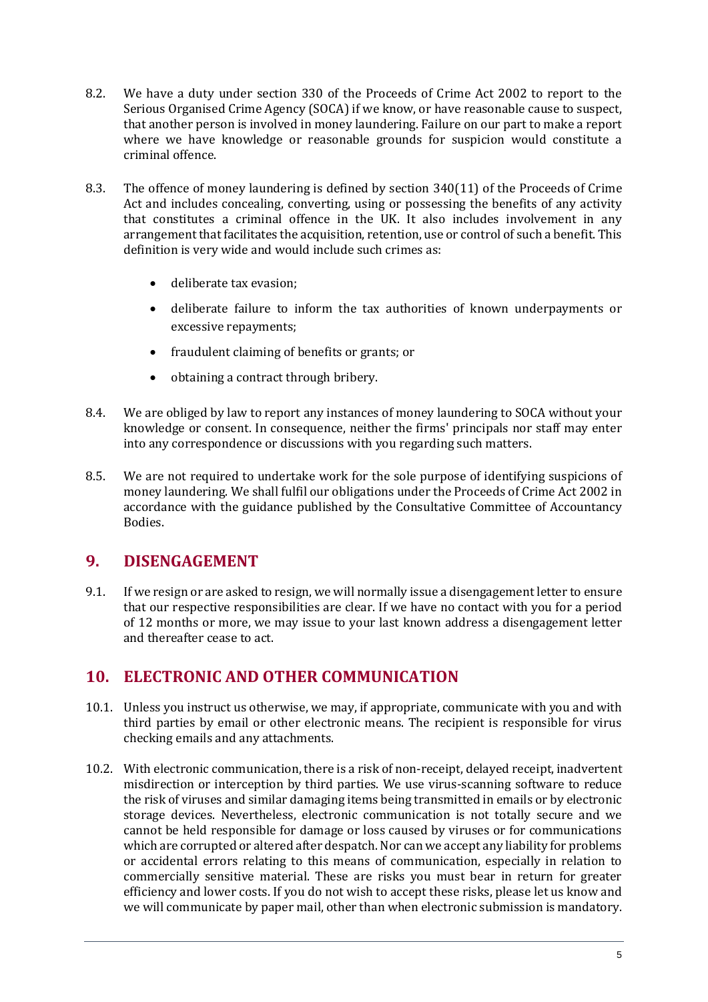- 8.2. We have a duty under section 330 of the Proceeds of Crime Act 2002 to report to the Serious Organised Crime Agency (SOCA) if we know, or have reasonable cause to suspect, that another person is involved in money laundering. Failure on our part to make a report where we have knowledge or reasonable grounds for suspicion would constitute a criminal offence.
- 8.3. The offence of money laundering is defined by section 340(11) of the Proceeds of Crime Act and includes concealing, converting, using or possessing the benefits of any activity that constitutes a criminal offence in the UK. It also includes involvement in any arrangement that facilitates the acquisition, retention, use or control of such a benefit. This definition is very wide and would include such crimes as:
	- deliberate tax evasion;
	- deliberate failure to inform the tax authorities of known underpayments or excessive repayments;
	- fraudulent claiming of benefits or grants; or
	- obtaining a contract through bribery.
- 8.4. We are obliged by law to report any instances of money laundering to SOCA without your knowledge or consent. In consequence, neither the firms' principals nor staff may enter into any correspondence or discussions with you regarding such matters.
- 8.5. We are not required to undertake work for the sole purpose of identifying suspicions of money laundering. We shall fulfil our obligations under the Proceeds of Crime Act 2002 in accordance with the guidance published by the Consultative Committee of Accountancy Bodies.

#### **9. DISENGAGEMENT**

9.1. If we resign or are asked to resign, we will normally issue a disengagement letter to ensure that our respective responsibilities are clear. If we have no contact with you for a period of 12 months or more, we may issue to your last known address a disengagement letter and thereafter cease to act.

#### **10. ELECTRONIC AND OTHER COMMUNICATION**

- 10.1. Unless you instruct us otherwise, we may, if appropriate, communicate with you and with third parties by email or other electronic means. The recipient is responsible for virus checking emails and any attachments.
- 10.2. With electronic communication, there is a risk of non-receipt, delayed receipt, inadvertent misdirection or interception by third parties. We use virus-scanning software to reduce the risk of viruses and similar damaging items being transmitted in emails or by electronic storage devices. Nevertheless, electronic communication is not totally secure and we cannot be held responsible for damage or loss caused by viruses or for communications which are corrupted or altered after despatch. Nor can we accept any liability for problems or accidental errors relating to this means of communication, especially in relation to commercially sensitive material. These are risks you must bear in return for greater efficiency and lower costs. If you do not wish to accept these risks, please let us know and we will communicate by paper mail, other than when electronic submission is mandatory.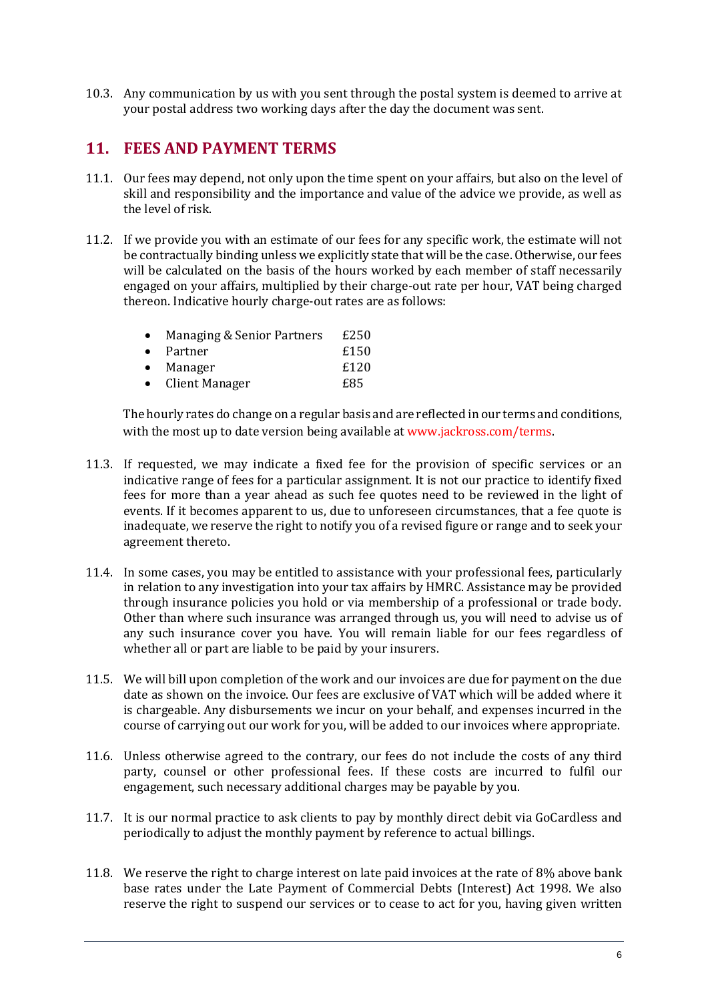10.3. Any communication by us with you sent through the postal system is deemed to arrive at your postal address two working days after the day the document was sent.

#### **11. FEES AND PAYMENT TERMS**

- 11.1. Our fees may depend, not only upon the time spent on your affairs, but also on the level of skill and responsibility and the importance and value of the advice we provide, as well as the level of risk.
- 11.2. If we provide you with an estimate of our fees for any specific work, the estimate will not be contractually binding unless we explicitly state that will be the case. Otherwise, our fees will be calculated on the basis of the hours worked by each member of staff necessarily engaged on your affairs, multiplied by their charge-out rate per hour, VAT being charged thereon. Indicative hourly charge-out rates are as follows:

| $\bullet$ | Managing & Senior Partners | £250 |
|-----------|----------------------------|------|
|           | • Partner                  | £150 |
| $\bullet$ | Manager                    | £120 |
| $\bullet$ | Client Manager             | £85  |

The hourly rates do change on a regular basis and are reflected in our terms and conditions, with the most up to date version being available at [www.jackross.com/terms.](http://www.jackross.com/terms)

- 11.3. If requested, we may indicate a fixed fee for the provision of specific services or an indicative range of fees for a particular assignment. It is not our practice to identify fixed fees for more than a year ahead as such fee quotes need to be reviewed in the light of events. If it becomes apparent to us, due to unforeseen circumstances, that a fee quote is inadequate, we reserve the right to notify you of a revised figure or range and to seek your agreement thereto.
- 11.4. In some cases, you may be entitled to assistance with your professional fees, particularly in relation to any investigation into your tax affairs by HMRC. Assistance may be provided through insurance policies you hold or via membership of a professional or trade body. Other than where such insurance was arranged through us, you will need to advise us of any such insurance cover you have. You will remain liable for our fees regardless of whether all or part are liable to be paid by your insurers.
- 11.5. We will bill upon completion of the work and our invoices are due for payment on the due date as shown on the invoice. Our fees are exclusive of VAT which will be added where it is chargeable. Any disbursements we incur on your behalf, and expenses incurred in the course of carrying out our work for you, will be added to our invoices where appropriate.
- 11.6. Unless otherwise agreed to the contrary, our fees do not include the costs of any third party, counsel or other professional fees. If these costs are incurred to fulfil our engagement, such necessary additional charges may be payable by you.
- 11.7. It is our normal practice to ask clients to pay by monthly direct debit via GoCardless and periodically to adjust the monthly payment by reference to actual billings.
- 11.8. We reserve the right to charge interest on late paid invoices at the rate of 8% above bank base rates under the Late Payment of Commercial Debts (Interest) Act 1998. We also reserve the right to suspend our services or to cease to act for you, having given written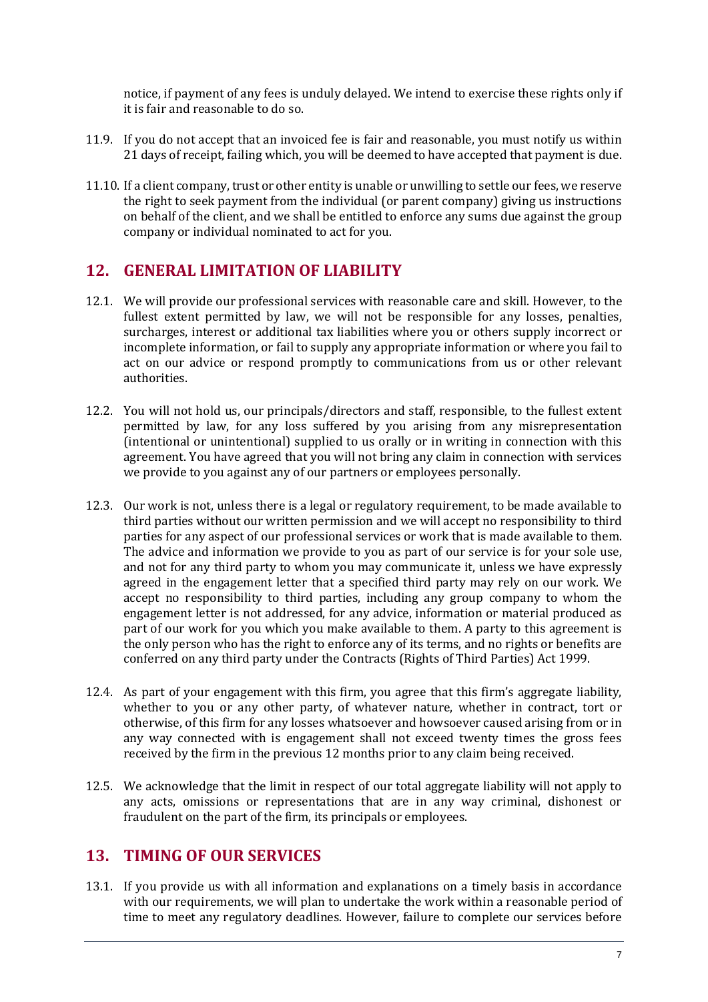notice, if payment of any fees is unduly delayed. We intend to exercise these rights only if it is fair and reasonable to do so.

- 11.9. If you do not accept that an invoiced fee is fair and reasonable, you must notify us within 21 days of receipt, failing which, you will be deemed to have accepted that payment is due.
- 11.10. If a client company, trust or other entity is unable or unwilling to settle our fees, we reserve the right to seek payment from the individual (or parent company) giving us instructions on behalf of the client, and we shall be entitled to enforce any sums due against the group company or individual nominated to act for you.

#### **12. GENERAL LIMITATION OF LIABILITY**

- 12.1. We will provide our professional services with reasonable care and skill. However, to the fullest extent permitted by law, we will not be responsible for any losses, penalties, surcharges, interest or additional tax liabilities where you or others supply incorrect or incomplete information, or fail to supply any appropriate information or where you fail to act on our advice or respond promptly to communications from us or other relevant authorities.
- 12.2. You will not hold us, our principals/directors and staff, responsible, to the fullest extent permitted by law, for any loss suffered by you arising from any misrepresentation (intentional or unintentional) supplied to us orally or in writing in connection with this agreement. You have agreed that you will not bring any claim in connection with services we provide to you against any of our partners or employees personally.
- 12.3. Our work is not, unless there is a legal or regulatory requirement, to be made available to third parties without our written permission and we will accept no responsibility to third parties for any aspect of our professional services or work that is made available to them. The advice and information we provide to you as part of our service is for your sole use, and not for any third party to whom you may communicate it, unless we have expressly agreed in the engagement letter that a specified third party may rely on our work. We accept no responsibility to third parties, including any group company to whom the engagement letter is not addressed, for any advice, information or material produced as part of our work for you which you make available to them. A party to this agreement is the only person who has the right to enforce any of its terms, and no rights or benefits are conferred on any third party under the Contracts (Rights of Third Parties) Act 1999.
- 12.4. As part of your engagement with this firm, you agree that this firm's aggregate liability, whether to you or any other party, of whatever nature, whether in contract, tort or otherwise, of this firm for any losses whatsoever and howsoever caused arising from or in any way connected with is engagement shall not exceed twenty times the gross fees received by the firm in the previous 12 months prior to any claim being received.
- 12.5. We acknowledge that the limit in respect of our total aggregate liability will not apply to any acts, omissions or representations that are in any way criminal, dishonest or fraudulent on the part of the firm, its principals or employees.

#### **13. TIMING OF OUR SERVICES**

13.1. If you provide us with all information and explanations on a timely basis in accordance with our requirements, we will plan to undertake the work within a reasonable period of time to meet any regulatory deadlines. However, failure to complete our services before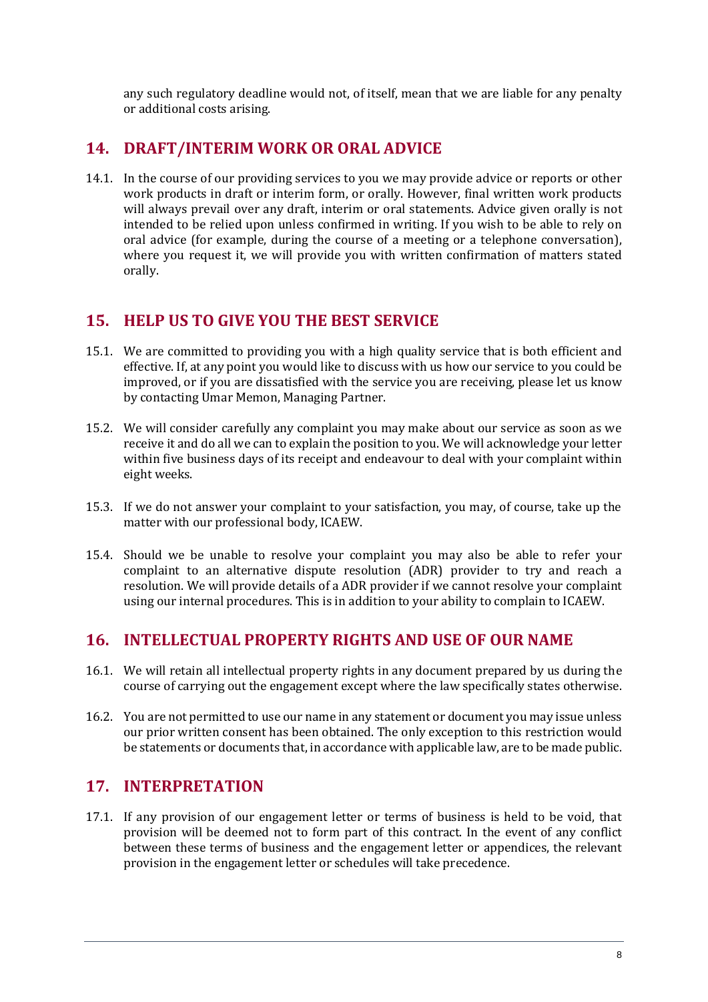any such regulatory deadline would not, of itself, mean that we are liable for any penalty or additional costs arising.

#### **14. DRAFT/INTERIM WORK OR ORAL ADVICE**

14.1. In the course of our providing services to you we may provide advice or reports or other work products in draft or interim form, or orally. However, final written work products will always prevail over any draft, interim or oral statements. Advice given orally is not intended to be relied upon unless confirmed in writing. If you wish to be able to rely on oral advice (for example, during the course of a meeting or a telephone conversation), where you request it, we will provide you with written confirmation of matters stated orally.

#### **15. HELP US TO GIVE YOU THE BEST SERVICE**

- 15.1. We are committed to providing you with a high quality service that is both efficient and effective. If, at any point you would like to discuss with us how our service to you could be improved, or if you are dissatisfied with the service you are receiving, please let us know by contacting Umar Memon, Managing Partner.
- 15.2. We will consider carefully any complaint you may make about our service as soon as we receive it and do all we can to explain the position to you. We will acknowledge your letter within five business days of its receipt and endeavour to deal with your complaint within eight weeks.
- 15.3. If we do not answer your complaint to your satisfaction, you may, of course, take up the matter with our professional body, ICAEW.
- 15.4. Should we be unable to resolve your complaint you may also be able to refer your complaint to an alternative dispute resolution (ADR) provider to try and reach a resolution. We will provide details of a ADR provider if we cannot resolve your complaint using our internal procedures. This is in addition to your ability to complain to ICAEW.

#### **16. INTELLECTUAL PROPERTY RIGHTS AND USE OF OUR NAME**

- 16.1. We will retain all intellectual property rights in any document prepared by us during the course of carrying out the engagement except where the law specifically states otherwise.
- 16.2. You are not permitted to use our name in any statement or document you may issue unless our prior written consent has been obtained. The only exception to this restriction would be statements or documents that, in accordance with applicable law, are to be made public.

#### **17. INTERPRETATION**

17.1. If any provision of our engagement letter or terms of business is held to be void, that provision will be deemed not to form part of this contract. In the event of any conflict between these terms of business and the engagement letter or appendices, the relevant provision in the engagement letter or schedules will take precedence.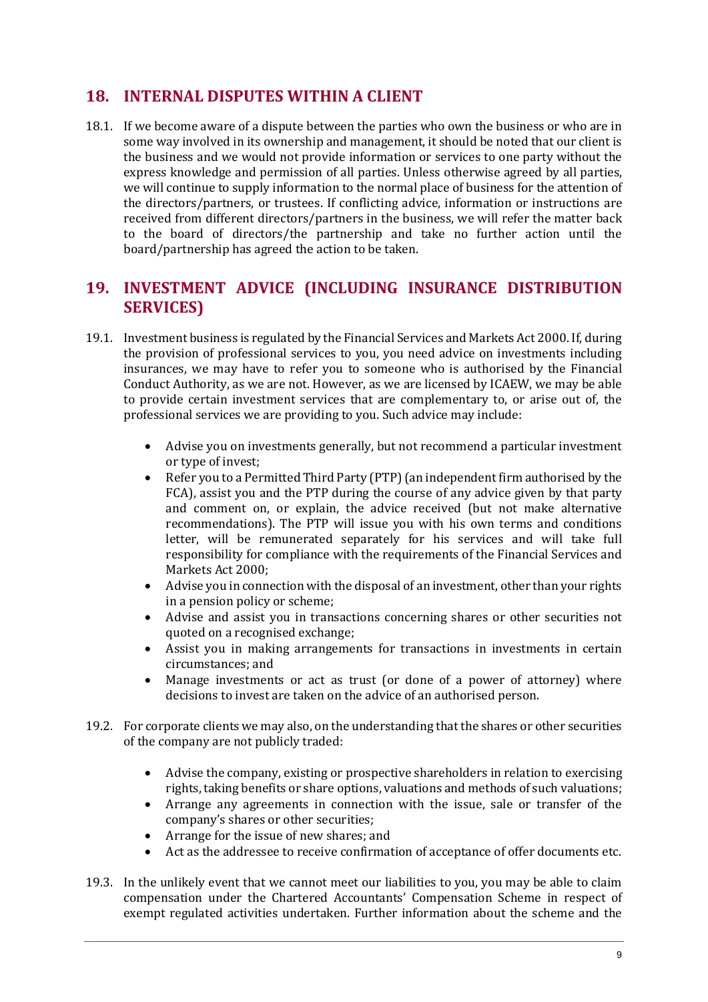#### **18. INTERNAL DISPUTES WITHIN A CLIENT**

18.1. If we become aware of a dispute between the parties who own the business or who are in some way involved in its ownership and management, it should be noted that our client is the business and we would not provide information or services to one party without the express knowledge and permission of all parties. Unless otherwise agreed by all parties, we will continue to supply information to the normal place of business for the attention of the directors/partners, or trustees. If conflicting advice, information or instructions are received from different directors/partners in the business, we will refer the matter back to the board of directors/the partnership and take no further action until the board/partnership has agreed the action to be taken.

#### **19. INVESTMENT ADVICE (INCLUDING INSURANCE DISTRIBUTION SERVICES)**

- 19.1. Investment business is regulated by the Financial Services and Markets Act 2000. If, during the provision of professional services to you, you need advice on investments including insurances, we may have to refer you to someone who is authorised by the Financial Conduct Authority, as we are not. However, as we are licensed by ICAEW, we may be able to provide certain investment services that are complementary to, or arise out of, the professional services we are providing to you. Such advice may include:
	- Advise you on investments generally, but not recommend a particular investment or type of invest;
	- Refer you to a Permitted Third Party (PTP) (an independent firm authorised by the FCA), assist you and the PTP during the course of any advice given by that party and comment on, or explain, the advice received (but not make alternative recommendations). The PTP will issue you with his own terms and conditions letter, will be remunerated separately for his services and will take full responsibility for compliance with the requirements of the Financial Services and Markets Act 2000;
	- Advise you in connection with the disposal of an investment, other than your rights in a pension policy or scheme;
	- Advise and assist you in transactions concerning shares or other securities not quoted on a recognised exchange;
	- Assist you in making arrangements for transactions in investments in certain circumstances; and
	- Manage investments or act as trust (or done of a power of attorney) where decisions to invest are taken on the advice of an authorised person.
- 19.2. For corporate clients we may also, on the understanding that the shares or other securities of the company are not publicly traded:
	- Advise the company, existing or prospective shareholders in relation to exercising rights, taking benefits or share options, valuations and methods of such valuations;
	- Arrange any agreements in connection with the issue, sale or transfer of the company's shares or other securities;
	- Arrange for the issue of new shares; and
	- Act as the addressee to receive confirmation of acceptance of offer documents etc.
- 19.3. In the unlikely event that we cannot meet our liabilities to you, you may be able to claim compensation under the Chartered Accountants' Compensation Scheme in respect of exempt regulated activities undertaken. Further information about the scheme and the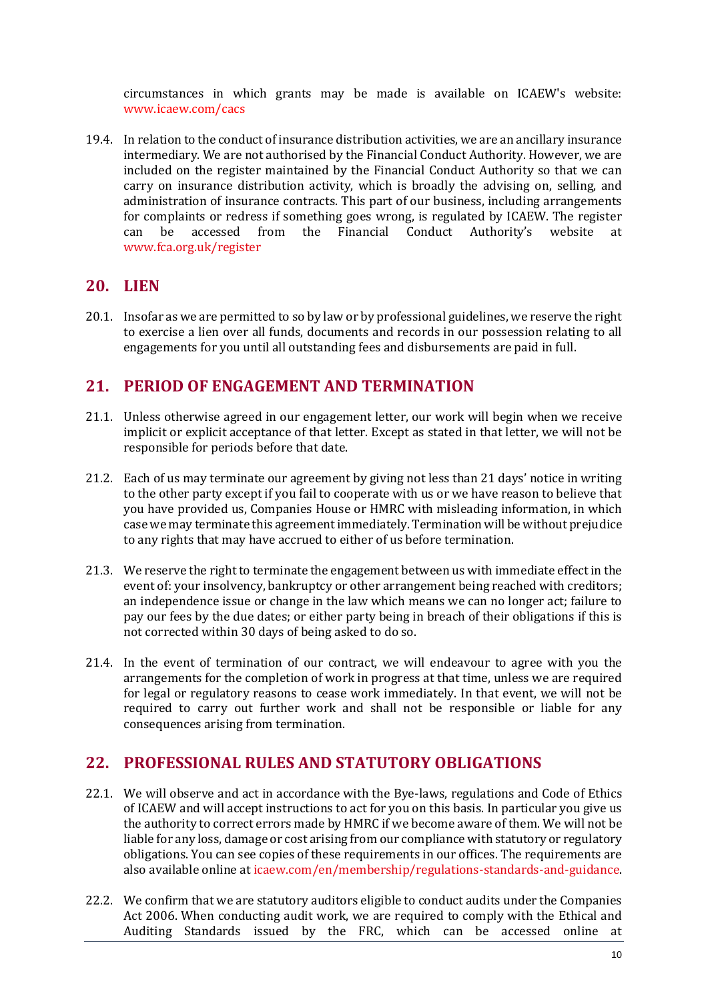circumstances in which grants may be made is available on ICAEW's website: [www.icaew.com/cacs](http://www.icaew.com/cacs)

19.4. In relation to the conduct of insurance distribution activities, we are an ancillary insurance intermediary. We are not authorised by the Financial Conduct Authority. However, we are included on the register maintained by the Financial Conduct Authority so that we can carry on insurance distribution activity, which is broadly the advising on, selling, and administration of insurance contracts. This part of our business, including arrangements for complaints or redress if something goes wrong, is regulated by ICAEW. The register can be accessed from the Financial Conduct Authority's website at [www.fca.org.uk/register](http://www.fca.org.uk/register)

#### **20. LIEN**

20.1. Insofar as we are permitted to so by law or by professional guidelines, we reserve the right to exercise a lien over all funds, documents and records in our possession relating to all engagements for you until all outstanding fees and disbursements are paid in full.

#### **21. PERIOD OF ENGAGEMENT AND TERMINATION**

- 21.1. Unless otherwise agreed in our engagement letter, our work will begin when we receive implicit or explicit acceptance of that letter. Except as stated in that letter, we will not be responsible for periods before that date.
- 21.2. Each of us may terminate our agreement by giving not less than 21 days' notice in writing to the other party except if you fail to cooperate with us or we have reason to believe that you have provided us, Companies House or HMRC with misleading information, in which case we may terminate this agreement immediately. Termination will be without prejudice to any rights that may have accrued to either of us before termination.
- 21.3. We reserve the right to terminate the engagement between us with immediate effect in the event of: your insolvency, bankruptcy or other arrangement being reached with creditors; an independence issue or change in the law which means we can no longer act; failure to pay our fees by the due dates; or either party being in breach of their obligations if this is not corrected within 30 days of being asked to do so.
- 21.4. In the event of termination of our contract, we will endeavour to agree with you the arrangements for the completion of work in progress at that time, unless we are required for legal or regulatory reasons to cease work immediately. In that event, we will not be required to carry out further work and shall not be responsible or liable for any consequences arising from termination.

#### **22. PROFESSIONAL RULES AND STATUTORY OBLIGATIONS**

- 22.1. We will observe and act in accordance with the Bye-laws, regulations and Code of Ethics of ICAEW and will accept instructions to act for you on this basis. In particular you give us the authority to correct errors made by HMRC if we become aware of them. We will not be liable for any loss, damage or cost arising from our compliance with statutory or regulatory obligations. You can see copies of these requirements in our offices. The requirements are also available online a[t icaew.com/en/membership/regulations-standards-and-guidance.](http://www.icaew.com/en/membership/regulations-standards-and-guidance)
- 22.2. We confirm that we are statutory auditors eligible to conduct audits under the Companies Act 2006. When conducting audit work, we are required to comply with the Ethical and Auditing Standards issued by the FRC, which can be accessed online at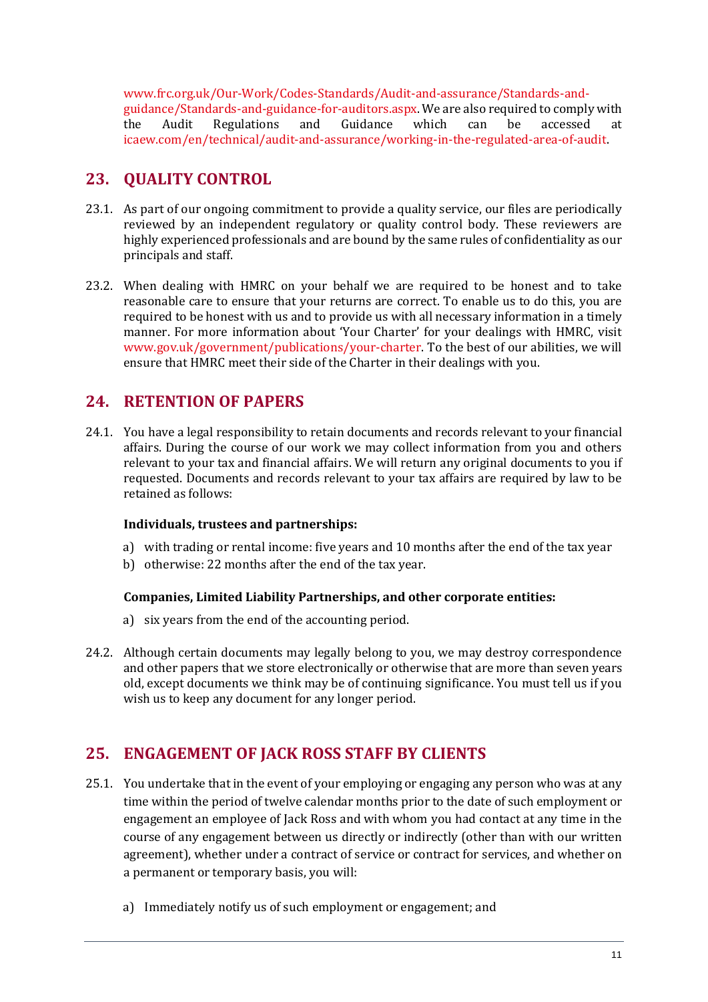[www.frc.org.uk/Our-Work/Codes-Standards/Audit-and-assurance/Standards-and](http://www.frc.org.uk/Our-Work/Codes-Standards/Audit-and-assurance/Standards-and-guidance/Standards-and-guidance-for-auditors.aspx)[guidance/Standards-and-guidance-for-auditors.aspx.](http://www.frc.org.uk/Our-Work/Codes-Standards/Audit-and-assurance/Standards-and-guidance/Standards-and-guidance-for-auditors.aspx) We are also required to comply with the Audit Regulations and Guidance which can be accessed at [icaew.com/en/technical/audit-and-assurance/working-in-the-regulated-area-of-audit.](http://www.icaew.com/en/technical/audit-and-assurance/working-in-the-regulated-area-of-audit)

#### **23. QUALITY CONTROL**

- 23.1. As part of our ongoing commitment to provide a quality service, our files are periodically reviewed by an independent regulatory or quality control body. These reviewers are highly experienced professionals and are bound by the same rules of confidentiality as our principals and staff.
- 23.2. When dealing with HMRC on your behalf we are required to be honest and to take reasonable care to ensure that your returns are correct. To enable us to do this, you are required to be honest with us and to provide us with all necessary information in a timely manner. For more information about 'Your Charter' for your dealings with HMRC, visit [www.gov.uk/government/publications/your-charter.](http://www.gov.uk/government/publications/your-charter) To the best of our abilities, we will ensure that HMRC meet their side of the Charter in their dealings with you.

#### **24. RETENTION OF PAPERS**

24.1. You have a legal responsibility to retain documents and records relevant to your financial affairs. During the course of our work we may collect information from you and others relevant to your tax and financial affairs. We will return any original documents to you if requested. Documents and records relevant to your tax affairs are required by law to be retained as follows:

#### **Individuals, trustees and partnerships:**

- a) with trading or rental income: five years and 10 months after the end of the tax year
- b) otherwise: 22 months after the end of the tax year.

#### **Companies, Limited Liability Partnerships, and other corporate entities:**

- a) six years from the end of the accounting period.
- 24.2. Although certain documents may legally belong to you, we may destroy correspondence and other papers that we store electronically or otherwise that are more than seven years old, except documents we think may be of continuing significance. You must tell us if you wish us to keep any document for any longer period.

# **25. ENGAGEMENT OF JACK ROSS STAFF BY CLIENTS**

- 25.1. You undertake that in the event of your employing or engaging any person who was at any time within the period of twelve calendar months prior to the date of such employment or engagement an employee of Jack Ross and with whom you had contact at any time in the course of any engagement between us directly or indirectly (other than with our written agreement), whether under a contract of service or contract for services, and whether on a permanent or temporary basis, you will:
	- a) Immediately notify us of such employment or engagement; and